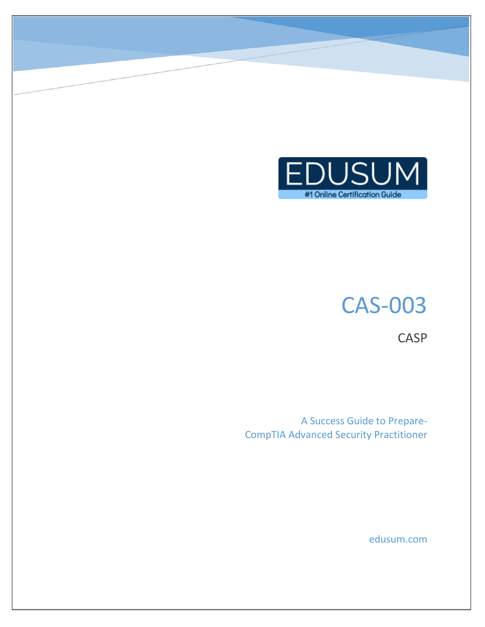

# CAS-003

**CASP** 

A Success Guide to Prepare-CompTIA Advanced Security Practitioner

edusum.com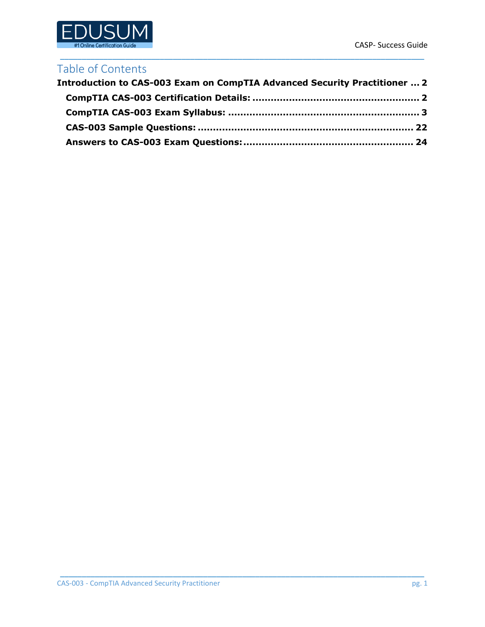

### Table of Contents

| Introduction to CAS-003 Exam on CompTIA Advanced Security Practitioner  2 |  |
|---------------------------------------------------------------------------|--|
|                                                                           |  |
|                                                                           |  |
|                                                                           |  |
|                                                                           |  |

\_\_\_\_\_\_\_\_\_\_\_\_\_\_\_\_\_\_\_\_\_\_\_\_\_\_\_\_\_\_\_\_\_\_\_\_\_\_\_\_\_\_\_\_\_\_\_\_\_\_\_\_\_\_\_\_\_\_\_\_\_\_\_\_\_\_\_\_\_\_\_\_\_\_\_\_\_\_\_\_\_\_\_\_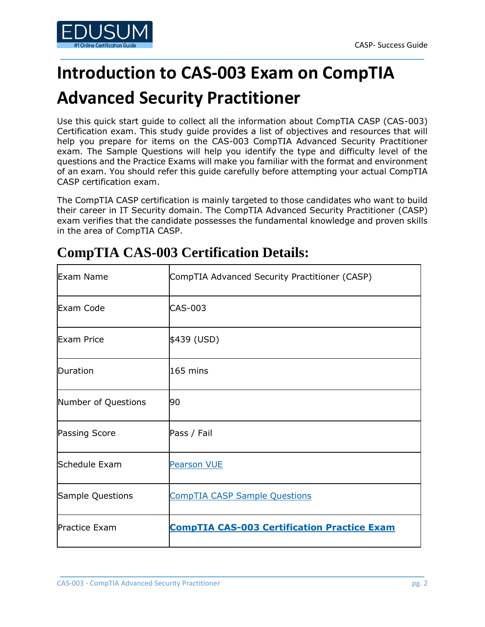

## <span id="page-2-0"></span>**Introduction to CAS-003 Exam on CompTIA Advanced Security Practitioner**

\_\_\_\_\_\_\_\_\_\_\_\_\_\_\_\_\_\_\_\_\_\_\_\_\_\_\_\_\_\_\_\_\_\_\_\_\_\_\_\_\_\_\_\_\_\_\_\_\_\_\_\_\_\_\_\_\_\_\_\_\_\_\_\_\_\_\_\_\_\_\_\_\_\_\_\_\_\_\_\_\_\_\_\_

Use this quick start guide to collect all the information about CompTIA CASP (CAS-003) Certification exam. This study guide provides a list of objectives and resources that will help you prepare for items on the CAS-003 CompTIA Advanced Security Practitioner exam. The Sample Questions will help you identify the type and difficulty level of the questions and the Practice Exams will make you familiar with the format and environment of an exam. You should refer this guide carefully before attempting your actual CompTIA CASP certification exam.

The CompTIA CASP certification is mainly targeted to those candidates who want to build their career in IT Security domain. The CompTIA Advanced Security Practitioner (CASP) exam verifies that the candidate possesses the fundamental knowledge and proven skills in the area of CompTIA CASP.

| Exam Name            | CompTIA Advanced Security Practitioner (CASP)      |
|----------------------|----------------------------------------------------|
| Exam Code            | CAS-003                                            |
| <b>Exam Price</b>    | \$439 (USD)                                        |
| Duration             | $165$ mins                                         |
| Number of Questions  | 90                                                 |
| Passing Score        | Pass / Fail                                        |
| Schedule Exam        | <b>Pearson VUE</b>                                 |
| Sample Questions     | <b>CompTIA CASP Sample Questions</b>               |
| <b>Practice Exam</b> | <b>CompTIA CAS-003 Certification Practice Exam</b> |

\_\_\_\_\_\_\_\_\_\_\_\_\_\_\_\_\_\_\_\_\_\_\_\_\_\_\_\_\_\_\_\_\_\_\_\_\_\_\_\_\_\_\_\_\_\_\_\_\_\_\_\_\_\_\_\_\_\_\_\_\_\_\_\_\_\_\_\_\_\_\_\_\_\_\_\_\_\_\_\_\_\_\_\_

## <span id="page-2-1"></span>**CompTIA CAS-003 Certification Details:**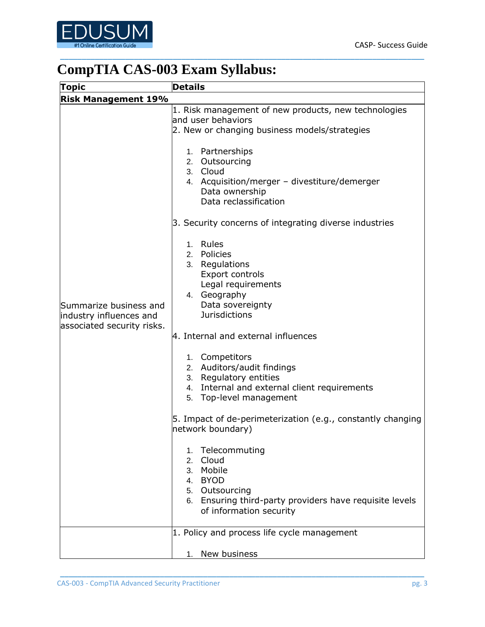

## <span id="page-3-0"></span>**CompTIA CAS-003 Exam Syllabus:**

| <b>Topic</b>                                                                    | <b>Details</b>                                                                                                                                                                                                                                                                                                                                                                                                                                                                                                                                                                                           |
|---------------------------------------------------------------------------------|----------------------------------------------------------------------------------------------------------------------------------------------------------------------------------------------------------------------------------------------------------------------------------------------------------------------------------------------------------------------------------------------------------------------------------------------------------------------------------------------------------------------------------------------------------------------------------------------------------|
| <b>Risk Management 19%</b>                                                      |                                                                                                                                                                                                                                                                                                                                                                                                                                                                                                                                                                                                          |
|                                                                                 | 1. Risk management of new products, new technologies<br>land user behaviors<br>2. New or changing business models/strategies                                                                                                                                                                                                                                                                                                                                                                                                                                                                             |
|                                                                                 | 1. Partnerships<br>2. Outsourcing<br>3. Cloud<br>4. Acquisition/merger - divestiture/demerger<br>Data ownership<br>Data reclassification                                                                                                                                                                                                                                                                                                                                                                                                                                                                 |
|                                                                                 | 3. Security concerns of integrating diverse industries                                                                                                                                                                                                                                                                                                                                                                                                                                                                                                                                                   |
| Summarize business and<br>industry influences and<br>associated security risks. | 1. Rules<br>2. Policies<br>3. Regulations<br><b>Export controls</b><br>Legal requirements<br>4. Geography<br>Data sovereignty<br><b>Jurisdictions</b><br>4. Internal and external influences<br>1. Competitors<br>2. Auditors/audit findings<br>3. Regulatory entities<br>4. Internal and external client requirements<br>5. Top-level management<br>5. Impact of de-perimeterization (e.g., constantly changing<br>network boundary)<br>Telecommuting<br>1.<br>2. Cloud<br>3. Mobile<br>4. BYOD<br>5. Outsourcing<br>6. Ensuring third-party providers have requisite levels<br>of information security |
|                                                                                 | 1. Policy and process life cycle management                                                                                                                                                                                                                                                                                                                                                                                                                                                                                                                                                              |
|                                                                                 |                                                                                                                                                                                                                                                                                                                                                                                                                                                                                                                                                                                                          |
|                                                                                 | 1. New business                                                                                                                                                                                                                                                                                                                                                                                                                                                                                                                                                                                          |

\_\_\_\_\_\_\_\_\_\_\_\_\_\_\_\_\_\_\_\_\_\_\_\_\_\_\_\_\_\_\_\_\_\_\_\_\_\_\_\_\_\_\_\_\_\_\_\_\_\_\_\_\_\_\_\_\_\_\_\_\_\_\_\_\_\_\_\_\_\_\_\_\_\_\_\_\_\_\_\_\_\_\_\_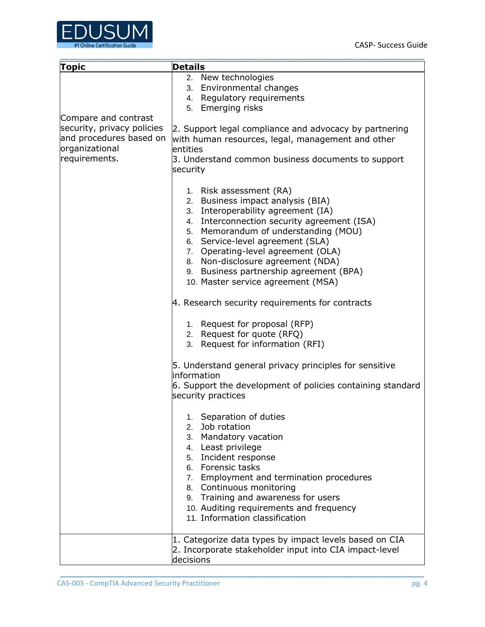

| <b>Topic</b>                                                                                                     | <b>Details</b>                                                                                                                                                                                                                                                                                                                                                                            |
|------------------------------------------------------------------------------------------------------------------|-------------------------------------------------------------------------------------------------------------------------------------------------------------------------------------------------------------------------------------------------------------------------------------------------------------------------------------------------------------------------------------------|
|                                                                                                                  | 2. New technologies<br>3. Environmental changes<br>4. Regulatory requirements<br>5. Emerging risks                                                                                                                                                                                                                                                                                        |
| Compare and contrast<br>security, privacy policies<br>and procedures based on<br>organizational<br>requirements. | 2. Support legal compliance and advocacy by partnering<br>with human resources, legal, management and other<br>entities<br>3. Understand common business documents to support<br>security                                                                                                                                                                                                 |
|                                                                                                                  | 1. Risk assessment (RA)<br>2. Business impact analysis (BIA)<br>3. Interoperability agreement (IA)<br>4. Interconnection security agreement (ISA)<br>5. Memorandum of understanding (MOU)<br>6. Service-level agreement (SLA)<br>7. Operating-level agreement (OLA)<br>8. Non-disclosure agreement (NDA)<br>9. Business partnership agreement (BPA)<br>10. Master service agreement (MSA) |
|                                                                                                                  | 4. Research security requirements for contracts                                                                                                                                                                                                                                                                                                                                           |
|                                                                                                                  | 1. Request for proposal (RFP)<br>2. Request for quote (RFQ)<br>3. Request for information (RFI)                                                                                                                                                                                                                                                                                           |
|                                                                                                                  | 5. Understand general privacy principles for sensitive<br>information<br>6. Support the development of policies containing standard<br>security practices                                                                                                                                                                                                                                 |
|                                                                                                                  | 1. Separation of duties<br>2. Job rotation<br>3. Mandatory vacation<br>4. Least privilege<br>5. Incident response<br>6. Forensic tasks<br>7. Employment and termination procedures<br>8. Continuous monitoring<br>9. Training and awareness for users<br>10. Auditing requirements and frequency<br>11. Information classification                                                        |
|                                                                                                                  | 1. Categorize data types by impact levels based on CIA<br>2. Incorporate stakeholder input into CIA impact-level<br>decisions                                                                                                                                                                                                                                                             |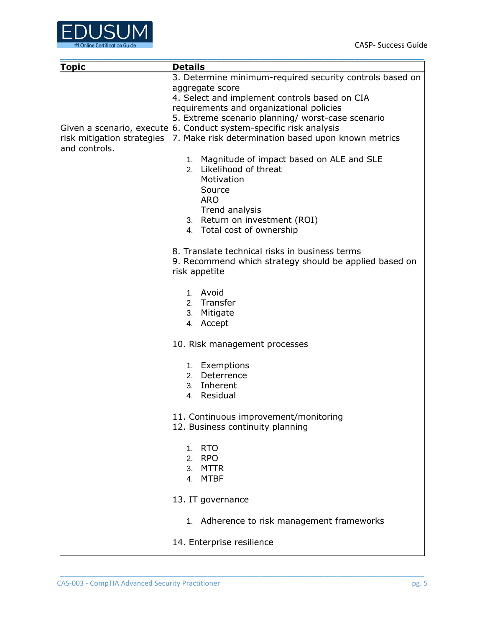

| <b>Topic</b>  | <b>Details</b>                                                                                                          |
|---------------|-------------------------------------------------------------------------------------------------------------------------|
|               | 3. Determine minimum-required security controls based on                                                                |
|               | aggregate score                                                                                                         |
|               | 4. Select and implement controls based on CIA                                                                           |
|               | requirements and organizational policies                                                                                |
|               | 5. Extreme scenario planning/ worst-case scenario<br>Given a scenario, execute 6. Conduct system-specific risk analysis |
|               | $ $ risk mitigation strategies $ 7$ . Make risk determination based upon known metrics                                  |
| and controls. |                                                                                                                         |
|               | 1. Magnitude of impact based on ALE and SLE                                                                             |
|               | 2. Likelihood of threat                                                                                                 |
|               | Motivation                                                                                                              |
|               | Source                                                                                                                  |
|               | <b>ARO</b>                                                                                                              |
|               | Trend analysis                                                                                                          |
|               | 3. Return on investment (ROI)                                                                                           |
|               | 4. Total cost of ownership                                                                                              |
|               | 8. Translate technical risks in business terms                                                                          |
|               | 9. Recommend which strategy should be applied based on                                                                  |
|               | risk appetite                                                                                                           |
|               |                                                                                                                         |
|               | 1. Avoid                                                                                                                |
|               | 2. Transfer                                                                                                             |
|               | 3. Mitigate                                                                                                             |
|               | 4. Accept                                                                                                               |
|               | 10. Risk management processes                                                                                           |
|               | 1. Exemptions                                                                                                           |
|               | 2. Deterrence                                                                                                           |
|               | 3. Inherent                                                                                                             |
|               | 4. Residual                                                                                                             |
|               | 11. Continuous improvement/monitoring<br>12. Business continuity planning                                               |
|               |                                                                                                                         |
|               | <b>RTO</b><br>1.                                                                                                        |
|               | 2. RPO                                                                                                                  |
|               | 3. MTTR                                                                                                                 |
|               | 4. MTBF                                                                                                                 |
|               | 13. IT governance                                                                                                       |
|               | 1. Adherence to risk management frameworks                                                                              |
|               | 14. Enterprise resilience                                                                                               |
|               |                                                                                                                         |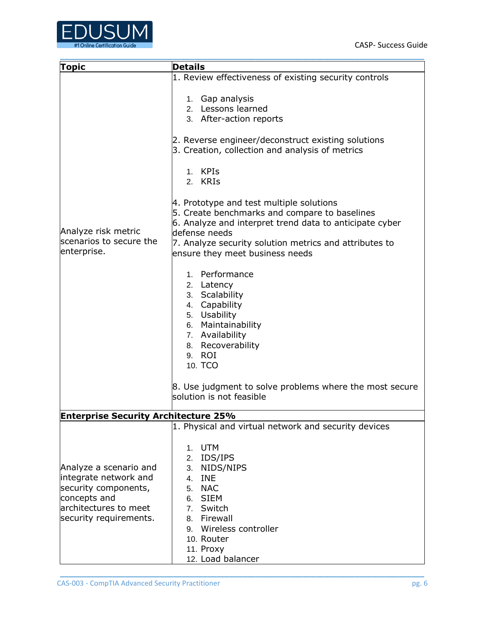

| <b>Topic</b>                                                  | <b>Details</b>                                                                                                                                                                                                                                                      |
|---------------------------------------------------------------|---------------------------------------------------------------------------------------------------------------------------------------------------------------------------------------------------------------------------------------------------------------------|
|                                                               | 1. Review effectiveness of existing security controls<br>1. Gap analysis<br>2. Lessons learned<br>3. After-action reports<br>2. Reverse engineer/deconstruct existing solutions<br>3. Creation, collection and analysis of metrics<br>1. KPIs                       |
|                                                               | 2. KRIS                                                                                                                                                                                                                                                             |
|                                                               |                                                                                                                                                                                                                                                                     |
| Analyze risk metric<br>scenarios to secure the<br>enterprise. | 4. Prototype and test multiple solutions<br>5. Create benchmarks and compare to baselines<br>6. Analyze and interpret trend data to anticipate cyber<br>ldefense needs<br>7. Analyze security solution metrics and attributes to<br>ensure they meet business needs |
|                                                               | 1. Performance                                                                                                                                                                                                                                                      |
|                                                               | 2. Latency                                                                                                                                                                                                                                                          |
|                                                               | 3. Scalability                                                                                                                                                                                                                                                      |
|                                                               | 4. Capability                                                                                                                                                                                                                                                       |
|                                                               | 5. Usability                                                                                                                                                                                                                                                        |
|                                                               | 6. Maintainability                                                                                                                                                                                                                                                  |
|                                                               | 7. Availability                                                                                                                                                                                                                                                     |
|                                                               | 8. Recoverability                                                                                                                                                                                                                                                   |
|                                                               | 9. ROI                                                                                                                                                                                                                                                              |
|                                                               | 10. TCO                                                                                                                                                                                                                                                             |
|                                                               | 8. Use judgment to solve problems where the most secure<br>solution is not feasible                                                                                                                                                                                 |
| <b>Enterprise Security Architecture 25%</b>                   |                                                                                                                                                                                                                                                                     |
|                                                               | 1. Physical and virtual network and security devices                                                                                                                                                                                                                |
| Analyze a scenario and                                        | <b>UTM</b><br>1.<br>2. IDS/IPS<br>3. NIDS/NIPS                                                                                                                                                                                                                      |
| integrate network and                                         | 4. INE                                                                                                                                                                                                                                                              |
| security components,                                          | 5. NAC                                                                                                                                                                                                                                                              |
| concepts and                                                  | 6. SIEM                                                                                                                                                                                                                                                             |
| architectures to meet                                         | 7. Switch                                                                                                                                                                                                                                                           |
| security requirements.                                        | 8. Firewall                                                                                                                                                                                                                                                         |
|                                                               | Wireless controller<br>9.                                                                                                                                                                                                                                           |
|                                                               | 10. Router                                                                                                                                                                                                                                                          |
|                                                               | 11. Proxy                                                                                                                                                                                                                                                           |
|                                                               | 12. Load balancer                                                                                                                                                                                                                                                   |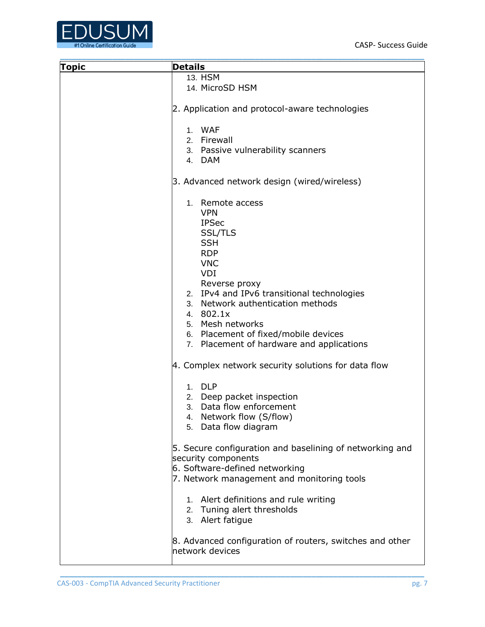

| <b>Topic</b> | <b>Details</b>                                           |
|--------------|----------------------------------------------------------|
|              | 13. HSM                                                  |
|              | 14. MicroSD HSM                                          |
|              |                                                          |
|              | 2. Application and protocol-aware technologies           |
|              | 1. WAF                                                   |
|              | 2. Firewall                                              |
|              | 3. Passive vulnerability scanners                        |
|              | 4. DAM                                                   |
|              | 3. Advanced network design (wired/wireless)              |
|              | 1. Remote access                                         |
|              | <b>VPN</b>                                               |
|              | <b>IPSec</b>                                             |
|              | <b>SSL/TLS</b>                                           |
|              | <b>SSH</b>                                               |
|              | <b>RDP</b>                                               |
|              | <b>VNC</b>                                               |
|              | VDI                                                      |
|              | Reverse proxy                                            |
|              | 2. IPv4 and IPv6 transitional technologies               |
|              | 3. Network authentication methods                        |
|              | 4. 802.1x                                                |
|              | 5. Mesh networks                                         |
|              | 6. Placement of fixed/mobile devices                     |
|              | 7. Placement of hardware and applications                |
|              |                                                          |
|              | 4. Complex network security solutions for data flow      |
|              | 1. DLP                                                   |
|              | 2. Deep packet inspection                                |
|              | 3. Data flow enforcement                                 |
|              | 4. Network flow (S/flow)                                 |
|              | 5. Data flow diagram                                     |
|              |                                                          |
|              | 5. Secure configuration and baselining of networking and |
|              | security components                                      |
|              | 6. Software-defined networking                           |
|              |                                                          |
|              | 7. Network management and monitoring tools               |
|              |                                                          |
|              | 1. Alert definitions and rule writing                    |
|              | 2. Tuning alert thresholds                               |
|              | 3. Alert fatigue                                         |
|              |                                                          |
|              | 8. Advanced configuration of routers, switches and other |
|              | network devices                                          |
|              |                                                          |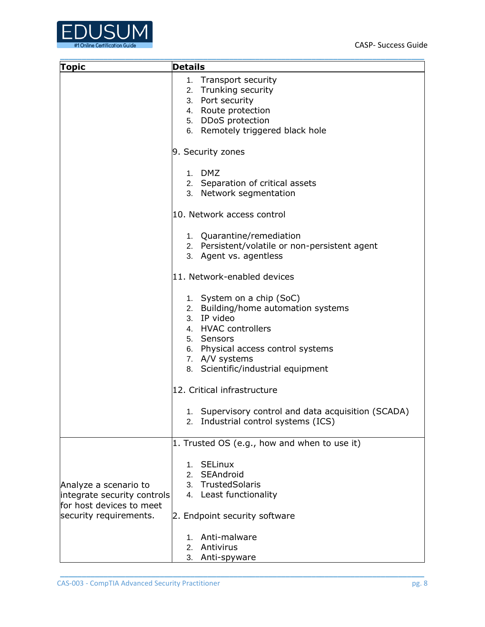

| <b>Topic</b>                                       | <b>Details</b>                                      |
|----------------------------------------------------|-----------------------------------------------------|
|                                                    |                                                     |
|                                                    | 1. Transport security<br>2. Trunking security       |
|                                                    | 3. Port security                                    |
|                                                    | 4. Route protection                                 |
|                                                    | 5. DDoS protection                                  |
|                                                    | 6. Remotely triggered black hole                    |
|                                                    |                                                     |
|                                                    | 9. Security zones                                   |
|                                                    | 1. DMZ                                              |
|                                                    | 2. Separation of critical assets                    |
|                                                    | 3. Network segmentation                             |
|                                                    | 10. Network access control                          |
|                                                    | 1. Quarantine/remediation                           |
|                                                    | 2. Persistent/volatile or non-persistent agent      |
|                                                    | 3. Agent vs. agentless                              |
|                                                    | 11. Network-enabled devices                         |
|                                                    | 1. System on a chip (SoC)                           |
|                                                    | 2. Building/home automation systems                 |
|                                                    | 3. IP video                                         |
|                                                    | 4. HVAC controllers                                 |
|                                                    | 5. Sensors                                          |
|                                                    | 6. Physical access control systems                  |
|                                                    | 7. A/V systems                                      |
|                                                    | 8. Scientific/industrial equipment                  |
|                                                    | 12. Critical infrastructure                         |
|                                                    | 1. Supervisory control and data acquisition (SCADA) |
|                                                    | Industrial control systems (ICS)<br>2.              |
|                                                    | 1. Trusted OS (e.g., how and when to use it)        |
|                                                    |                                                     |
|                                                    | 1. SELinux                                          |
|                                                    | 2. SEAndroid                                        |
| Analyze a scenario to                              | 3. TrustedSolaris                                   |
| integrate security controls                        | 4. Least functionality                              |
| for host devices to meet<br>security requirements. | 2. Endpoint security software                       |
|                                                    | Anti-malware<br>1.                                  |
|                                                    | Antivirus<br>2.                                     |
|                                                    | 3.<br>Anti-spyware                                  |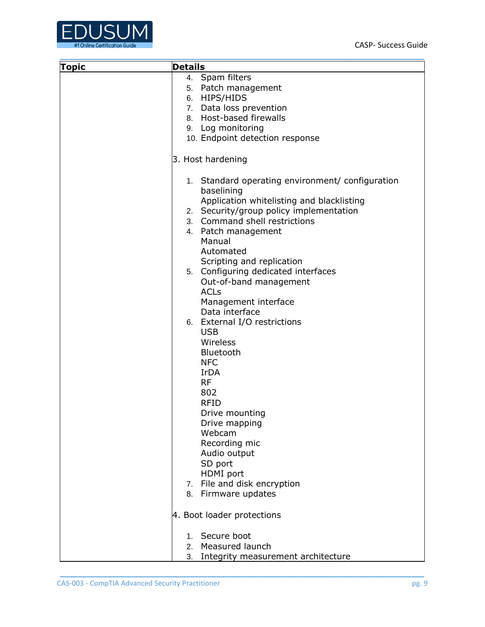

| <b>Topic</b> | <b>Details</b>                                                                                                                                        |
|--------------|-------------------------------------------------------------------------------------------------------------------------------------------------------|
|              | 4. Spam filters                                                                                                                                       |
|              | 5. Patch management                                                                                                                                   |
|              | 6. HIPS/HIDS                                                                                                                                          |
|              | 7. Data loss prevention                                                                                                                               |
|              | 8. Host-based firewalls                                                                                                                               |
|              | 9. Log monitoring                                                                                                                                     |
|              | 10. Endpoint detection response                                                                                                                       |
|              | 3. Host hardening                                                                                                                                     |
|              | 1. Standard operating environment/configuration<br>baselining<br>Application whitelisting and blacklisting<br>2. Security/group policy implementation |
|              | 3. Command shell restrictions                                                                                                                         |
|              | 4. Patch management                                                                                                                                   |
|              | Manual                                                                                                                                                |
|              | Automated                                                                                                                                             |
|              | Scripting and replication                                                                                                                             |
|              | 5. Configuring dedicated interfaces                                                                                                                   |
|              | Out-of-band management                                                                                                                                |
|              | <b>ACLs</b>                                                                                                                                           |
|              | Management interface                                                                                                                                  |
|              | Data interface                                                                                                                                        |
|              | 6. External I/O restrictions                                                                                                                          |
|              | <b>USB</b>                                                                                                                                            |
|              | Wireless                                                                                                                                              |
|              | Bluetooth                                                                                                                                             |
|              | <b>NFC</b>                                                                                                                                            |
|              | <b>IrDA</b>                                                                                                                                           |
|              | <b>RF</b>                                                                                                                                             |
|              | 802                                                                                                                                                   |
|              | <b>RFID</b>                                                                                                                                           |
|              | Drive mounting                                                                                                                                        |
|              | Drive mapping                                                                                                                                         |
|              | Webcam                                                                                                                                                |
|              | Recording mic                                                                                                                                         |
|              | Audio output                                                                                                                                          |
|              | SD port                                                                                                                                               |
|              | HDMI port                                                                                                                                             |
|              | 7. File and disk encryption                                                                                                                           |
|              | 8. Firmware updates                                                                                                                                   |
|              | 4. Boot loader protections                                                                                                                            |
|              | 1. Secure boot                                                                                                                                        |
|              | Measured launch<br>2.                                                                                                                                 |
|              | Integrity measurement architecture<br>3.                                                                                                              |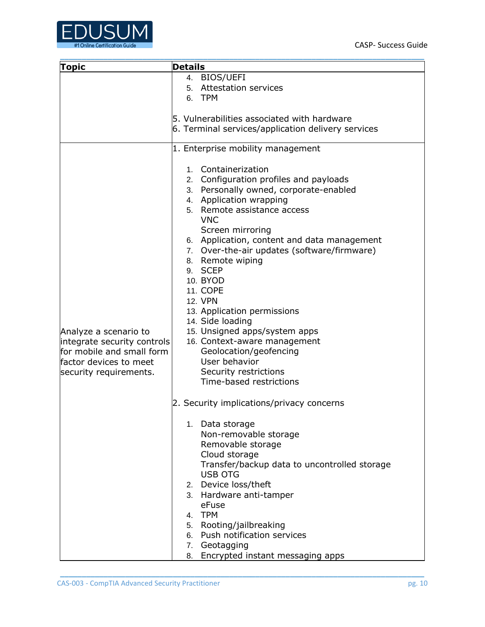

| <b>Topic</b>                                                                                                                          | <b>Details</b>                                                                                                                                                                                                                                                                                                                                                                                                                                                                                                                                                                                                                                                                                                                                                                                                                                                                                                                                           |
|---------------------------------------------------------------------------------------------------------------------------------------|----------------------------------------------------------------------------------------------------------------------------------------------------------------------------------------------------------------------------------------------------------------------------------------------------------------------------------------------------------------------------------------------------------------------------------------------------------------------------------------------------------------------------------------------------------------------------------------------------------------------------------------------------------------------------------------------------------------------------------------------------------------------------------------------------------------------------------------------------------------------------------------------------------------------------------------------------------|
|                                                                                                                                       | 4. BIOS/UEFI<br>5. Attestation services<br>6. TPM                                                                                                                                                                                                                                                                                                                                                                                                                                                                                                                                                                                                                                                                                                                                                                                                                                                                                                        |
|                                                                                                                                       | 5. Vulnerabilities associated with hardware<br>6. Terminal services/application delivery services                                                                                                                                                                                                                                                                                                                                                                                                                                                                                                                                                                                                                                                                                                                                                                                                                                                        |
|                                                                                                                                       | 1. Enterprise mobility management                                                                                                                                                                                                                                                                                                                                                                                                                                                                                                                                                                                                                                                                                                                                                                                                                                                                                                                        |
| Analyze a scenario to<br>integrate security controls<br>for mobile and small form<br>factor devices to meet<br>security requirements. | 1. Containerization<br>2. Configuration profiles and payloads<br>3. Personally owned, corporate-enabled<br>4. Application wrapping<br>5. Remote assistance access<br><b>VNC</b><br>Screen mirroring<br>6. Application, content and data management<br>7. Over-the-air updates (software/firmware)<br>8. Remote wiping<br>9. SCEP<br>10. BYOD<br><b>11. COPE</b><br><b>12. VPN</b><br>13. Application permissions<br>14. Side loading<br>15. Unsigned apps/system apps<br>16. Context-aware management<br>Geolocation/geofencing<br>User behavior<br>Security restrictions<br>Time-based restrictions<br>2. Security implications/privacy concerns<br>1. Data storage<br>Non-removable storage<br>Removable storage<br>Cloud storage<br>Transfer/backup data to uncontrolled storage<br><b>USB OTG</b><br>2. Device loss/theft<br>3. Hardware anti-tamper<br>eFuse<br>4. TPM<br>5. Rooting/jailbreaking<br>6. Push notification services<br>7. Geotagging |
|                                                                                                                                       | Encrypted instant messaging apps<br>8.                                                                                                                                                                                                                                                                                                                                                                                                                                                                                                                                                                                                                                                                                                                                                                                                                                                                                                                   |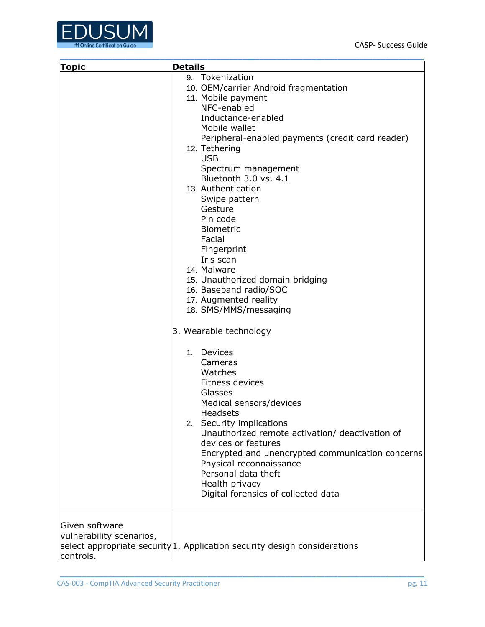

| <b>Topic</b>                                            | <b>Details</b>                                                                                                                                                                                                                                                                                                                                                                                                                                                                                                                                                                                                                                                                                                                                                                                                                                                                                                        |
|---------------------------------------------------------|-----------------------------------------------------------------------------------------------------------------------------------------------------------------------------------------------------------------------------------------------------------------------------------------------------------------------------------------------------------------------------------------------------------------------------------------------------------------------------------------------------------------------------------------------------------------------------------------------------------------------------------------------------------------------------------------------------------------------------------------------------------------------------------------------------------------------------------------------------------------------------------------------------------------------|
|                                                         | 9. Tokenization<br>10. OEM/carrier Android fragmentation<br>11. Mobile payment<br>NFC-enabled<br>Inductance-enabled<br>Mobile wallet<br>Peripheral-enabled payments (credit card reader)<br>12. Tethering<br><b>USB</b><br>Spectrum management<br>Bluetooth 3.0 vs. 4.1<br>13. Authentication<br>Swipe pattern<br>Gesture<br>Pin code<br><b>Biometric</b><br>Facial<br>Fingerprint<br>Iris scan<br>14. Malware<br>15. Unauthorized domain bridging<br>16. Baseband radio/SOC<br>17. Augmented reality<br>18. SMS/MMS/messaging<br>3. Wearable technology<br>Devices<br>$1_{-}$<br>Cameras<br>Watches<br><b>Fitness devices</b><br>Glasses<br>Medical sensors/devices<br><b>Headsets</b><br>2. Security implications<br>Unauthorized remote activation/ deactivation of<br>devices or features<br>Encrypted and unencrypted communication concerns<br>Physical reconnaissance<br>Personal data theft<br>Health privacy |
| Given software<br>vulnerability scenarios,<br>controls. | Digital forensics of collected data<br>select appropriate security 1. Application security design considerations                                                                                                                                                                                                                                                                                                                                                                                                                                                                                                                                                                                                                                                                                                                                                                                                      |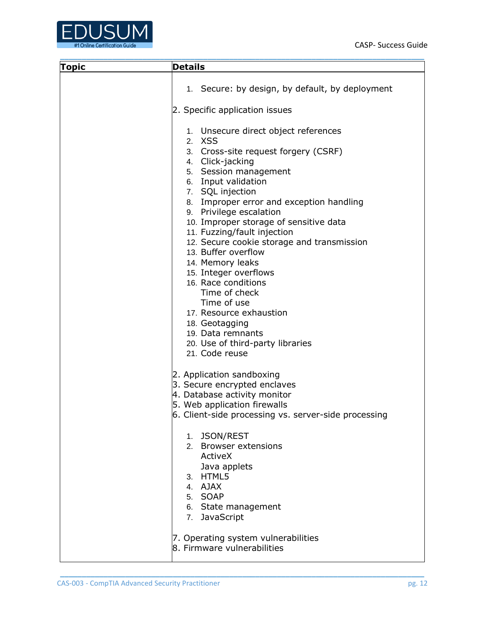

| <b>Topic</b> | <b>Details</b>                                                                                                                                                                                                                                                                                                                                                                                                                                                                                                                                                                                                                  |
|--------------|---------------------------------------------------------------------------------------------------------------------------------------------------------------------------------------------------------------------------------------------------------------------------------------------------------------------------------------------------------------------------------------------------------------------------------------------------------------------------------------------------------------------------------------------------------------------------------------------------------------------------------|
|              | 1. Secure: by design, by default, by deployment                                                                                                                                                                                                                                                                                                                                                                                                                                                                                                                                                                                 |
|              | 2. Specific application issues                                                                                                                                                                                                                                                                                                                                                                                                                                                                                                                                                                                                  |
|              | 1. Unsecure direct object references<br>2. XSS<br>3. Cross-site request forgery (CSRF)<br>4. Click-jacking<br>5. Session management<br>6. Input validation<br>7. SQL injection<br>8. Improper error and exception handling<br>9. Privilege escalation<br>10. Improper storage of sensitive data<br>11. Fuzzing/fault injection<br>12. Secure cookie storage and transmission<br>13. Buffer overflow<br>14. Memory leaks<br>15. Integer overflows<br>16. Race conditions<br>Time of check<br>Time of use<br>17. Resource exhaustion<br>18. Geotagging<br>19. Data remnants<br>20. Use of third-party libraries<br>21. Code reuse |
|              | 2. Application sandboxing<br>3. Secure encrypted enclaves<br>4. Database activity monitor<br>5. Web application firewalls<br>6. Client-side processing vs. server-side processing<br>1. JSON/REST<br>2. Browser extensions<br>ActiveX<br>Java applets<br>3. HTML5<br>4. AJAX<br>5. SOAP<br>6. State management<br>7. JavaScript                                                                                                                                                                                                                                                                                                 |
|              | 7. Operating system vulnerabilities<br>8. Firmware vulnerabilities                                                                                                                                                                                                                                                                                                                                                                                                                                                                                                                                                              |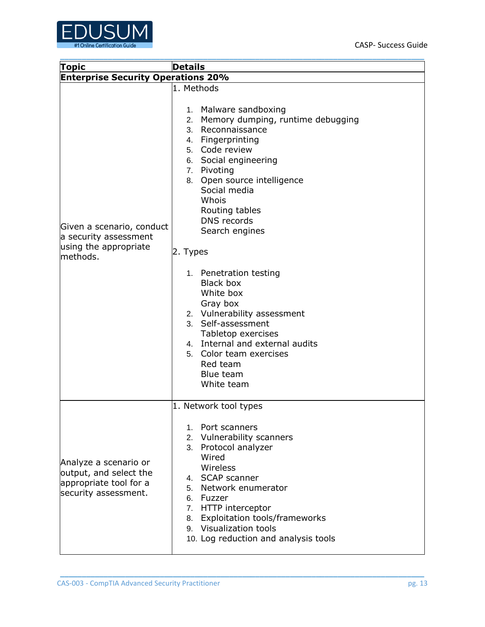

| Topic                                                                                             | <b>Details</b>                                                                                                                                                                                                                                                                                                                                                                                                                                                                                                                |  |  |  |
|---------------------------------------------------------------------------------------------------|-------------------------------------------------------------------------------------------------------------------------------------------------------------------------------------------------------------------------------------------------------------------------------------------------------------------------------------------------------------------------------------------------------------------------------------------------------------------------------------------------------------------------------|--|--|--|
| <b>Enterprise Security Operations 20%</b>                                                         |                                                                                                                                                                                                                                                                                                                                                                                                                                                                                                                               |  |  |  |
| Given a scenario, conduct<br>a security assessment<br>using the appropriate<br>methods.           | 1. Methods<br>1. Malware sandboxing<br>2. Memory dumping, runtime debugging<br>3. Reconnaissance<br>4. Fingerprinting<br>5. Code review<br>6. Social engineering<br>7. Pivoting<br>8. Open source intelligence<br>Social media<br>Whois<br>Routing tables<br><b>DNS</b> records<br>Search engines<br>2. Types<br>1. Penetration testing<br><b>Black box</b><br>White box<br>Gray box<br>2. Vulnerability assessment<br>3. Self-assessment<br>Tabletop exercises<br>4. Internal and external audits<br>5. Color team exercises |  |  |  |
| Analyze a scenario or<br>output, and select the<br>appropriate tool for a<br>security assessment. | Red team<br>Blue team<br>White team<br>1. Network tool types<br>1. Port scanners<br>2. Vulnerability scanners<br>3. Protocol analyzer<br>Wired<br>Wireless<br>4. SCAP scanner<br>5. Network enumerator<br>6. Fuzzer<br>7. HTTP interceptor<br>8. Exploitation tools/frameworks<br>9. Visualization tools<br>10. Log reduction and analysis tools                                                                                                                                                                              |  |  |  |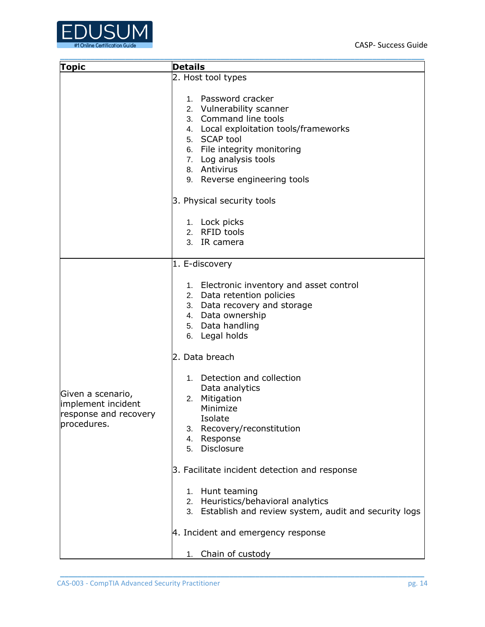

| <b>Topic</b>                                                                    | <b>Details</b>                                                                                                                                                                                                                              |  |  |  |  |
|---------------------------------------------------------------------------------|---------------------------------------------------------------------------------------------------------------------------------------------------------------------------------------------------------------------------------------------|--|--|--|--|
|                                                                                 | 2. Host tool types                                                                                                                                                                                                                          |  |  |  |  |
|                                                                                 | 1. Password cracker<br>2. Vulnerability scanner<br>3. Command line tools<br>4. Local exploitation tools/frameworks<br>5. SCAP tool<br>6. File integrity monitoring<br>7. Log analysis tools<br>8. Antivirus<br>9. Reverse engineering tools |  |  |  |  |
|                                                                                 | 3. Physical security tools                                                                                                                                                                                                                  |  |  |  |  |
|                                                                                 | 1. Lock picks<br>2. RFID tools<br>3. IR camera                                                                                                                                                                                              |  |  |  |  |
|                                                                                 | 1. E-discovery                                                                                                                                                                                                                              |  |  |  |  |
|                                                                                 | 1. Electronic inventory and asset control<br>2. Data retention policies<br>3. Data recovery and storage<br>4. Data ownership<br>5. Data handling<br>6. Legal holds                                                                          |  |  |  |  |
|                                                                                 | 2. Data breach                                                                                                                                                                                                                              |  |  |  |  |
| Given a scenario,<br>implement incident<br>response and recovery<br>procedures. | 1. Detection and collection<br>Data analytics<br>2. Mitigation<br>Minimize<br>Isolate<br>Recovery/reconstitution<br>3.<br>Response<br>4.<br>5. Disclosure                                                                                   |  |  |  |  |
|                                                                                 | 3. Facilitate incident detection and response                                                                                                                                                                                               |  |  |  |  |
|                                                                                 | 1. Hunt teaming<br>2. Heuristics/behavioral analytics<br>3. Establish and review system, audit and security logs                                                                                                                            |  |  |  |  |
|                                                                                 | 4. Incident and emergency response                                                                                                                                                                                                          |  |  |  |  |
|                                                                                 | Chain of custody<br>1.                                                                                                                                                                                                                      |  |  |  |  |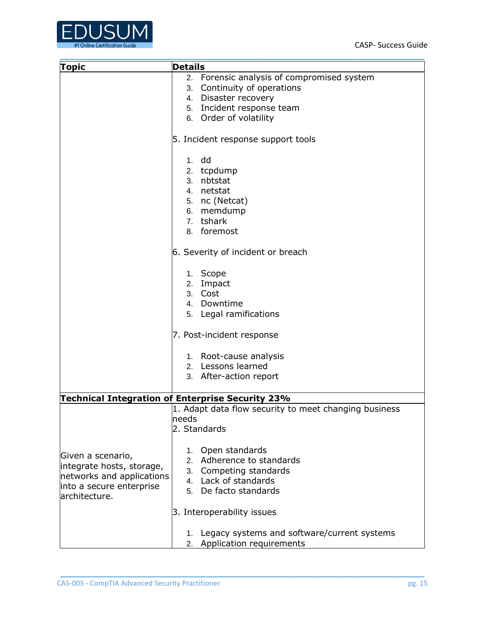

| <b>Topic</b>              | <b>Details</b>                                        |  |  |  |  |
|---------------------------|-------------------------------------------------------|--|--|--|--|
|                           | 2. Forensic analysis of compromised system            |  |  |  |  |
|                           | 3. Continuity of operations                           |  |  |  |  |
|                           | 4. Disaster recovery                                  |  |  |  |  |
|                           | 5. Incident response team                             |  |  |  |  |
|                           | 6. Order of volatility                                |  |  |  |  |
|                           |                                                       |  |  |  |  |
|                           | 5. Incident response support tools                    |  |  |  |  |
|                           | $1.$ dd                                               |  |  |  |  |
|                           | 2. tcpdump                                            |  |  |  |  |
|                           | 3. nbtstat                                            |  |  |  |  |
|                           | 4. netstat                                            |  |  |  |  |
|                           | 5. nc (Netcat)                                        |  |  |  |  |
|                           | 6. memdump                                            |  |  |  |  |
|                           | 7. tshark                                             |  |  |  |  |
|                           | 8. foremost                                           |  |  |  |  |
|                           | 6. Severity of incident or breach                     |  |  |  |  |
|                           | 1. Scope                                              |  |  |  |  |
|                           | 2. Impact                                             |  |  |  |  |
|                           | 3. Cost                                               |  |  |  |  |
|                           | 4. Downtime                                           |  |  |  |  |
|                           | 5. Legal ramifications                                |  |  |  |  |
|                           | 7. Post-incident response                             |  |  |  |  |
|                           | 1. Root-cause analysis                                |  |  |  |  |
|                           | 2. Lessons learned                                    |  |  |  |  |
|                           | 3. After-action report                                |  |  |  |  |
|                           | Technical Integration of Enterprise Security 23%      |  |  |  |  |
|                           | 1. Adapt data flow security to meet changing business |  |  |  |  |
|                           | needs                                                 |  |  |  |  |
|                           | 2. Standards                                          |  |  |  |  |
|                           | 1. Open standards                                     |  |  |  |  |
| Given a scenario,         | 2. Adherence to standards                             |  |  |  |  |
| integrate hosts, storage, | 3. Competing standards                                |  |  |  |  |
| networks and applications | 4. Lack of standards                                  |  |  |  |  |
| into a secure enterprise  | 5. De facto standards                                 |  |  |  |  |
| architecture.             |                                                       |  |  |  |  |
|                           | 3. Interoperability issues                            |  |  |  |  |
|                           | Legacy systems and software/current systems<br>1.     |  |  |  |  |
|                           | 2. Application requirements                           |  |  |  |  |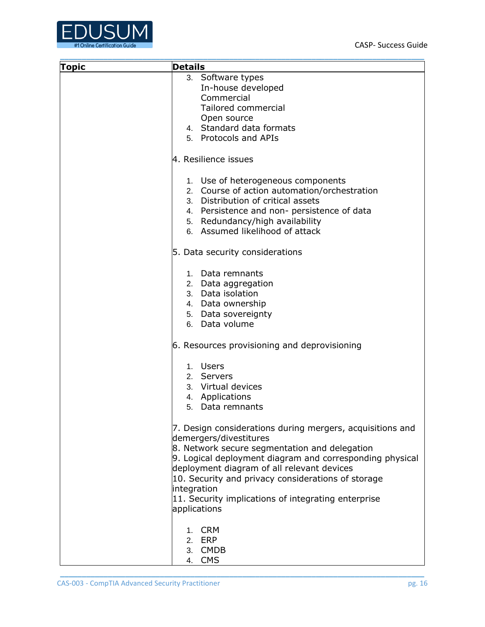

| <b>Topic</b> | <b>Details</b>                                                      |
|--------------|---------------------------------------------------------------------|
|              | 3. Software types                                                   |
|              | In-house developed                                                  |
|              | Commercial                                                          |
|              | Tailored commercial                                                 |
|              |                                                                     |
|              | Open source                                                         |
|              | 4. Standard data formats                                            |
|              | 5. Protocols and APIs                                               |
|              | 4. Resilience issues                                                |
|              | 1. Use of heterogeneous components                                  |
|              | 2. Course of action automation/orchestration                        |
|              | 3. Distribution of critical assets                                  |
|              | 4. Persistence and non- persistence of data                         |
|              | 5. Redundancy/high availability                                     |
|              | 6. Assumed likelihood of attack                                     |
|              | 5. Data security considerations                                     |
|              | 1. Data remnants                                                    |
|              | 2. Data aggregation                                                 |
|              | 3. Data isolation                                                   |
|              | 4. Data ownership                                                   |
|              | 5. Data sovereignty                                                 |
|              | 6. Data volume                                                      |
|              | 6. Resources provisioning and deprovisioning                        |
|              | 1. Users                                                            |
|              | 2. Servers                                                          |
|              | 3. Virtual devices                                                  |
|              | 4. Applications                                                     |
|              | 5. Data remnants                                                    |
|              |                                                                     |
|              | 7. Design considerations during mergers, acquisitions and           |
|              | demergers/divestitures                                              |
|              | 8. Network secure segmentation and delegation                       |
|              | 9. Logical deployment diagram and corresponding physical            |
|              | deployment diagram of all relevant devices                          |
|              |                                                                     |
|              | 10. Security and privacy considerations of storage                  |
|              | integration                                                         |
|              | 11. Security implications of integrating enterprise<br>applications |
|              |                                                                     |
|              | 1. CRM                                                              |
|              | 2. ERP                                                              |
|              | 3. CMDB                                                             |
|              | <b>CMS</b><br>4.                                                    |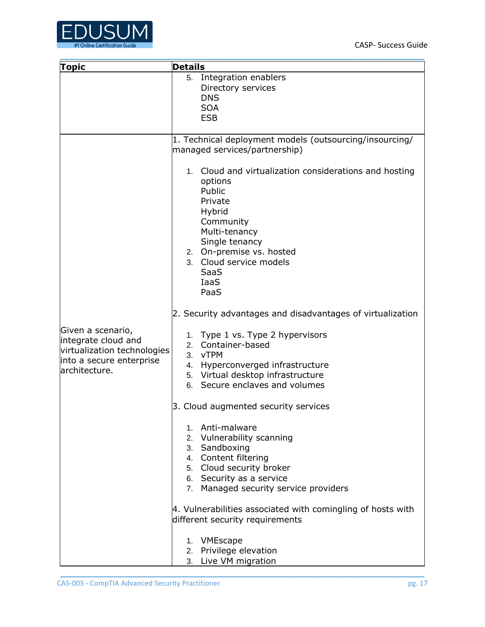

| <b>Topic</b>                                                                                                         | <b>Details</b>                                                                                                                                                                                                                                |  |  |  |
|----------------------------------------------------------------------------------------------------------------------|-----------------------------------------------------------------------------------------------------------------------------------------------------------------------------------------------------------------------------------------------|--|--|--|
|                                                                                                                      | 5. Integration enablers<br>Directory services<br><b>DNS</b><br><b>SOA</b><br><b>ESB</b>                                                                                                                                                       |  |  |  |
|                                                                                                                      | 1. Technical deployment models (outsourcing/insourcing/<br>managed services/partnership)                                                                                                                                                      |  |  |  |
|                                                                                                                      | 1. Cloud and virtualization considerations and hosting<br>options<br>Public<br>Private<br>Hybrid<br>Community<br>Multi-tenancy<br>Single tenancy<br>2. On-premise vs. hosted<br>3. Cloud service models<br><b>SaaS</b><br><b>IaaS</b><br>PaaS |  |  |  |
|                                                                                                                      | 2. Security advantages and disadvantages of virtualization                                                                                                                                                                                    |  |  |  |
| Given a scenario,<br>integrate cloud and<br>virtualization technologies<br>into a secure enterprise<br>architecture. | 1. Type 1 vs. Type 2 hypervisors<br>2. Container-based<br>3. vTPM<br>4. Hyperconverged infrastructure<br>5. Virtual desktop infrastructure<br>6. Secure enclaves and volumes                                                                  |  |  |  |
|                                                                                                                      | 3. Cloud augmented security services                                                                                                                                                                                                          |  |  |  |
|                                                                                                                      | 1. Anti-malware<br>2. Vulnerability scanning<br>3. Sandboxing<br>4. Content filtering<br>5. Cloud security broker<br>6. Security as a service<br>7. Managed security service providers                                                        |  |  |  |
|                                                                                                                      | 4. Vulnerabilities associated with comingling of hosts with<br>different security requirements                                                                                                                                                |  |  |  |
|                                                                                                                      | 1. VMEscape<br>2. Privilege elevation<br>3. Live VM migration                                                                                                                                                                                 |  |  |  |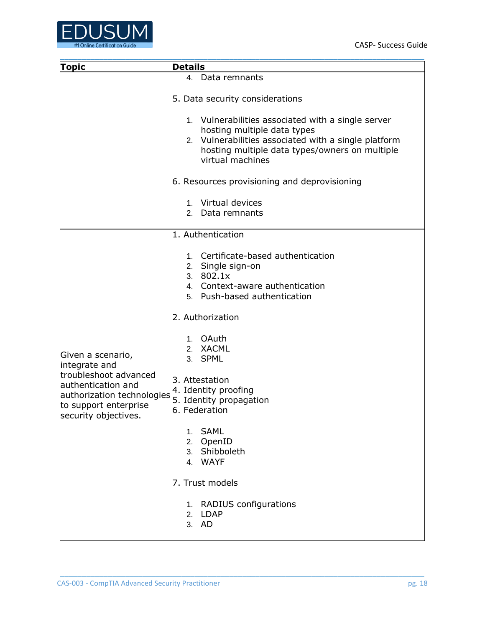

| <b>Topic</b>                                  | <b>Details</b>                                       |  |  |  |
|-----------------------------------------------|------------------------------------------------------|--|--|--|
|                                               | 4. Data remnants                                     |  |  |  |
|                                               |                                                      |  |  |  |
|                                               | 5. Data security considerations                      |  |  |  |
|                                               | 1. Vulnerabilities associated with a single server   |  |  |  |
|                                               | hosting multiple data types                          |  |  |  |
|                                               | 2. Vulnerabilities associated with a single platform |  |  |  |
|                                               | hosting multiple data types/owners on multiple       |  |  |  |
|                                               | virtual machines                                     |  |  |  |
|                                               |                                                      |  |  |  |
|                                               | 6. Resources provisioning and deprovisioning         |  |  |  |
|                                               |                                                      |  |  |  |
|                                               | 1. Virtual devices                                   |  |  |  |
|                                               | Data remnants<br>2.                                  |  |  |  |
|                                               | 1. Authentication                                    |  |  |  |
|                                               |                                                      |  |  |  |
|                                               | 1. Certificate-based authentication                  |  |  |  |
|                                               | 2. Single sign-on                                    |  |  |  |
|                                               | 3. $802.1x$                                          |  |  |  |
|                                               | 4. Context-aware authentication                      |  |  |  |
|                                               | 5. Push-based authentication                         |  |  |  |
|                                               |                                                      |  |  |  |
|                                               | 2. Authorization                                     |  |  |  |
|                                               |                                                      |  |  |  |
|                                               | 1. OAuth<br>2. XACML                                 |  |  |  |
| Given a scenario,                             | 3. SPML                                              |  |  |  |
| integrate and                                 |                                                      |  |  |  |
| troubleshoot advanced                         | 3. Attestation                                       |  |  |  |
| authentication and                            | 4. Identity proofing                                 |  |  |  |
| authorization technologies                    | 5. Identity propagation                              |  |  |  |
| to support enterprise<br>security objectives. | 6. Federation                                        |  |  |  |
|                                               |                                                      |  |  |  |
|                                               | <b>SAML</b><br>1.                                    |  |  |  |
|                                               | 2. OpenID<br>3. Shibboleth                           |  |  |  |
|                                               | 4. WAYF                                              |  |  |  |
|                                               |                                                      |  |  |  |
|                                               | 7. Trust models                                      |  |  |  |
|                                               |                                                      |  |  |  |
|                                               | 1. RADIUS configurations                             |  |  |  |
|                                               | 2. LDAP                                              |  |  |  |
|                                               | 3. AD                                                |  |  |  |
|                                               |                                                      |  |  |  |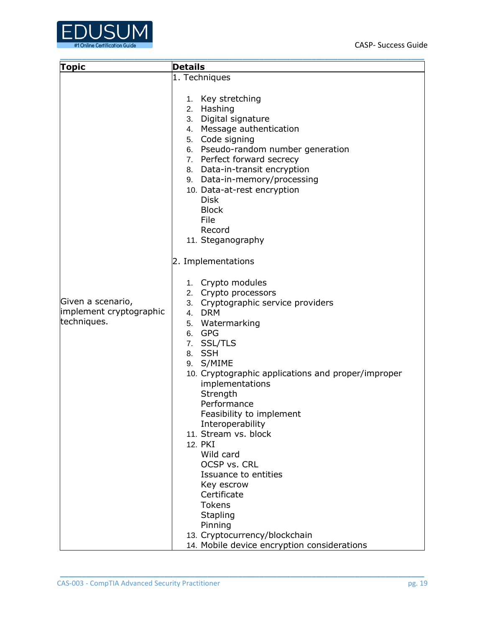

|                                                                             | <b>Details</b>                                                                                                                                                                                                                                                                                                                                                                                                                                                                                                                                                                                                                                                                                                                                                              |  |  |  |  |
|-----------------------------------------------------------------------------|-----------------------------------------------------------------------------------------------------------------------------------------------------------------------------------------------------------------------------------------------------------------------------------------------------------------------------------------------------------------------------------------------------------------------------------------------------------------------------------------------------------------------------------------------------------------------------------------------------------------------------------------------------------------------------------------------------------------------------------------------------------------------------|--|--|--|--|
|                                                                             |                                                                                                                                                                                                                                                                                                                                                                                                                                                                                                                                                                                                                                                                                                                                                                             |  |  |  |  |
| <b>Topic</b><br>Given a scenario,<br>implement cryptographic<br>techniques. | 1. Techniques<br>1. Key stretching<br>2. Hashing<br>3. Digital signature<br>4. Message authentication<br>5. Code signing<br>6. Pseudo-random number generation<br>7. Perfect forward secrecy<br>8. Data-in-transit encryption<br>9. Data-in-memory/processing<br>10. Data-at-rest encryption<br><b>Disk</b><br><b>Block</b><br>File<br>Record<br>11. Steganography<br>2. Implementations<br>1. Crypto modules<br>2. Crypto processors<br>3. Cryptographic service providers<br>4. DRM<br>5. Watermarking<br>6. GPG<br>7. SSL/TLS<br>8. SSH<br>9. S/MIME<br>10. Cryptographic applications and proper/improper<br>implementations<br>Strength<br>Performance<br>Feasibility to implement<br>Interoperability<br>11. Stream vs. block<br>12. PKI<br>Wild card<br>OCSP vs. CRL |  |  |  |  |
|                                                                             |                                                                                                                                                                                                                                                                                                                                                                                                                                                                                                                                                                                                                                                                                                                                                                             |  |  |  |  |
|                                                                             | Issuance to entities<br>Key escrow<br>Certificate<br><b>Tokens</b>                                                                                                                                                                                                                                                                                                                                                                                                                                                                                                                                                                                                                                                                                                          |  |  |  |  |
|                                                                             | Stapling                                                                                                                                                                                                                                                                                                                                                                                                                                                                                                                                                                                                                                                                                                                                                                    |  |  |  |  |
|                                                                             | Pinning                                                                                                                                                                                                                                                                                                                                                                                                                                                                                                                                                                                                                                                                                                                                                                     |  |  |  |  |
|                                                                             | 13. Cryptocurrency/blockchain                                                                                                                                                                                                                                                                                                                                                                                                                                                                                                                                                                                                                                                                                                                                               |  |  |  |  |
|                                                                             | 14. Mobile device encryption considerations                                                                                                                                                                                                                                                                                                                                                                                                                                                                                                                                                                                                                                                                                                                                 |  |  |  |  |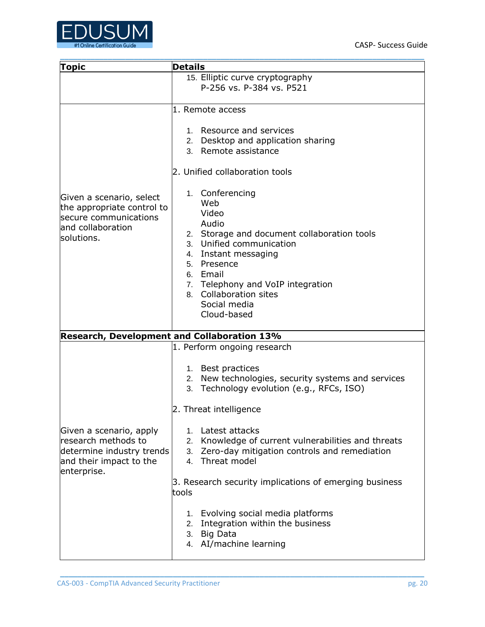

| <b>Topic</b>                                                                                                          | <b>Details</b>                                                                                                                                                                                                                                                                                                                                                                                                                                                                                                          |  |  |  |  |
|-----------------------------------------------------------------------------------------------------------------------|-------------------------------------------------------------------------------------------------------------------------------------------------------------------------------------------------------------------------------------------------------------------------------------------------------------------------------------------------------------------------------------------------------------------------------------------------------------------------------------------------------------------------|--|--|--|--|
|                                                                                                                       | 15. Elliptic curve cryptography<br>P-256 vs. P-384 vs. P521                                                                                                                                                                                                                                                                                                                                                                                                                                                             |  |  |  |  |
| Given a scenario, select<br>the appropriate control to<br>secure communications<br>and collaboration<br>solutions.    | 1. Remote access<br>1. Resource and services<br>2. Desktop and application sharing<br>3. Remote assistance<br>2. Unified collaboration tools<br>1. Conferencing<br>Web<br>Video<br>Audio<br>2. Storage and document collaboration tools<br>3. Unified communication<br>4. Instant messaging<br>5. Presence<br>6. Email<br>7. Telephony and VoIP integration<br>8. Collaboration sites<br>Social media<br>Cloud-based                                                                                                    |  |  |  |  |
| <b>Research, Development and Collaboration 13%</b>                                                                    |                                                                                                                                                                                                                                                                                                                                                                                                                                                                                                                         |  |  |  |  |
| Given a scenario, apply<br>research methods to<br>determine industry trends<br>and their impact to the<br>enterprise. | 1. Perform ongoing research<br>1. Best practices<br>2. New technologies, security systems and services<br>3. Technology evolution (e.g., RFCs, ISO)<br>2. Threat intelligence<br>1. Latest attacks<br>2. Knowledge of current vulnerabilities and threats<br>3. Zero-day mitigation controls and remediation<br>4. Threat model<br>3. Research security implications of emerging business<br>tools<br>1. Evolving social media platforms<br>2. Integration within the business<br>3. Big Data<br>4. AI/machine learning |  |  |  |  |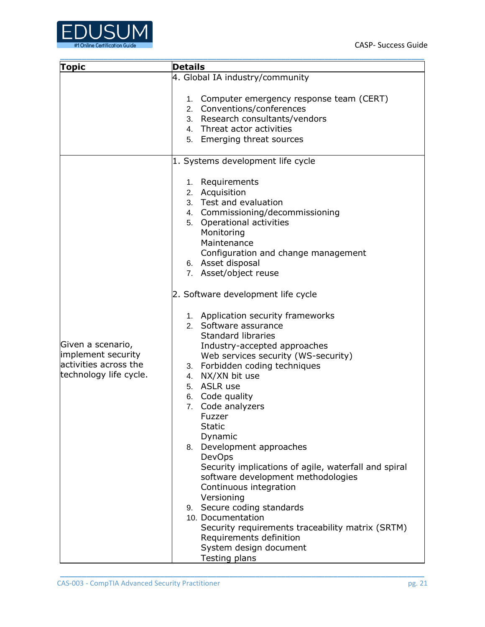

| <b>Topic</b>                                                                               | <b>Details</b>                                                                                                                                                                                                                                                                                                                                                                                                                                                                                                                                                                                                                                                                                                                                                                                                                                                                                                                                                 |  |  |  |
|--------------------------------------------------------------------------------------------|----------------------------------------------------------------------------------------------------------------------------------------------------------------------------------------------------------------------------------------------------------------------------------------------------------------------------------------------------------------------------------------------------------------------------------------------------------------------------------------------------------------------------------------------------------------------------------------------------------------------------------------------------------------------------------------------------------------------------------------------------------------------------------------------------------------------------------------------------------------------------------------------------------------------------------------------------------------|--|--|--|
|                                                                                            | 4. Global IA industry/community                                                                                                                                                                                                                                                                                                                                                                                                                                                                                                                                                                                                                                                                                                                                                                                                                                                                                                                                |  |  |  |
|                                                                                            | 1. Computer emergency response team (CERT)<br>2. Conventions/conferences<br>3. Research consultants/vendors<br>4. Threat actor activities<br>5. Emerging threat sources                                                                                                                                                                                                                                                                                                                                                                                                                                                                                                                                                                                                                                                                                                                                                                                        |  |  |  |
|                                                                                            |                                                                                                                                                                                                                                                                                                                                                                                                                                                                                                                                                                                                                                                                                                                                                                                                                                                                                                                                                                |  |  |  |
| Given a scenario,<br>implement security<br>activities across the<br>technology life cycle. | 1. Systems development life cycle<br>1. Requirements<br>2. Acquisition<br>3. Test and evaluation<br>4. Commissioning/decommissioning<br>5. Operational activities<br>Monitoring<br>Maintenance<br>Configuration and change management<br>6. Asset disposal<br>7. Asset/object reuse<br>2. Software development life cycle<br>1. Application security frameworks<br>2. Software assurance<br><b>Standard libraries</b><br>Industry-accepted approaches<br>Web services security (WS-security)<br>3. Forbidden coding techniques<br>4. NX/XN bit use<br>5. ASLR use<br>6. Code quality<br>7. Code analyzers<br>Fuzzer<br><b>Static</b><br>Dynamic<br>8. Development approaches<br>DevOps<br>Security implications of agile, waterfall and spiral<br>software development methodologies<br>Continuous integration<br>Versioning<br>9. Secure coding standards<br>10. Documentation<br>Security requirements traceability matrix (SRTM)<br>Requirements definition |  |  |  |
|                                                                                            | System design document<br>Testing plans                                                                                                                                                                                                                                                                                                                                                                                                                                                                                                                                                                                                                                                                                                                                                                                                                                                                                                                        |  |  |  |
|                                                                                            |                                                                                                                                                                                                                                                                                                                                                                                                                                                                                                                                                                                                                                                                                                                                                                                                                                                                                                                                                                |  |  |  |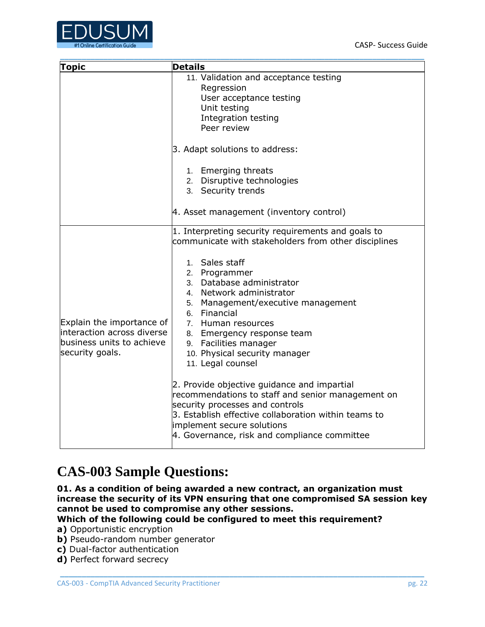

| <b>Topic</b>                                                                                             | <b>Details</b>                                                                                                                                                                                                                                                                                                                                                                                                                                                                                                                                                                                                                                                               |
|----------------------------------------------------------------------------------------------------------|------------------------------------------------------------------------------------------------------------------------------------------------------------------------------------------------------------------------------------------------------------------------------------------------------------------------------------------------------------------------------------------------------------------------------------------------------------------------------------------------------------------------------------------------------------------------------------------------------------------------------------------------------------------------------|
|                                                                                                          | 11. Validation and acceptance testing<br>Regression<br>User acceptance testing<br>Unit testing<br>Integration testing<br>Peer review                                                                                                                                                                                                                                                                                                                                                                                                                                                                                                                                         |
|                                                                                                          | 3. Adapt solutions to address:<br>1. Emerging threats<br>2. Disruptive technologies<br>3. Security trends<br>4. Asset management (inventory control)                                                                                                                                                                                                                                                                                                                                                                                                                                                                                                                         |
| Explain the importance of<br>linteraction across diverse<br>business units to achieve<br>security goals. | 1. Interpreting security requirements and goals to<br>communicate with stakeholders from other disciplines<br>1. Sales staff<br>2. Programmer<br>3. Database administrator<br>4. Network administrator<br>5. Management/executive management<br>6. Financial<br>7. Human resources<br>8. Emergency response team<br>9. Facilities manager<br>10. Physical security manager<br>11. Legal counsel<br>2. Provide objective guidance and impartial<br>recommendations to staff and senior management on<br>security processes and controls<br>3. Establish effective collaboration within teams to<br>implement secure solutions<br>4. Governance, risk and compliance committee |

## <span id="page-22-0"></span>**CAS-003 Sample Questions:**

**01. As a condition of being awarded a new contract, an organization must increase the security of its VPN ensuring that one compromised SA session key cannot be used to compromise any other sessions.**

\_\_\_\_\_\_\_\_\_\_\_\_\_\_\_\_\_\_\_\_\_\_\_\_\_\_\_\_\_\_\_\_\_\_\_\_\_\_\_\_\_\_\_\_\_\_\_\_\_\_\_\_\_\_\_\_\_\_\_\_\_\_\_\_\_\_\_\_\_\_\_\_\_\_\_\_\_\_\_\_\_\_\_\_

**Which of the following could be configured to meet this requirement?**

**a)** Opportunistic encryption

**b)** Pseudo-random number generator

**c)** Dual-factor authentication

**d)** Perfect forward secrecy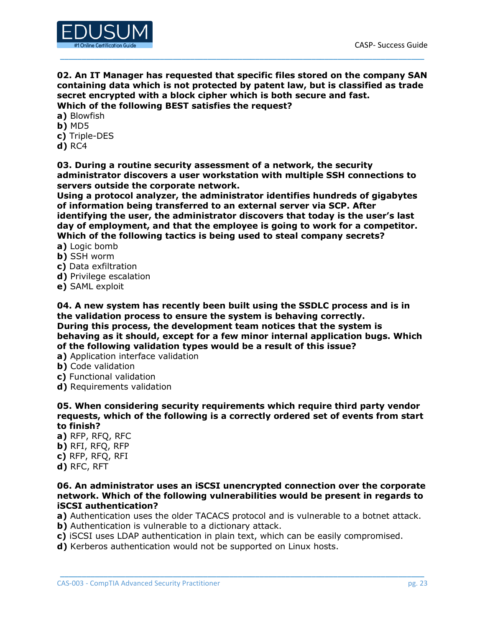

**02. An IT Manager has requested that specific files stored on the company SAN containing data which is not protected by patent law, but is classified as trade secret encrypted with a block cipher which is both secure and fast. Which of the following BEST satisfies the request?**

\_\_\_\_\_\_\_\_\_\_\_\_\_\_\_\_\_\_\_\_\_\_\_\_\_\_\_\_\_\_\_\_\_\_\_\_\_\_\_\_\_\_\_\_\_\_\_\_\_\_\_\_\_\_\_\_\_\_\_\_\_\_\_\_\_\_\_\_\_\_\_\_\_\_\_\_\_\_\_\_\_\_\_\_

**a)** Blowfish **b)** MD5

**c)** Triple-DES

**d)** RC4

**03. During a routine security assessment of a network, the security administrator discovers a user workstation with multiple SSH connections to servers outside the corporate network.**

**Using a protocol analyzer, the administrator identifies hundreds of gigabytes of information being transferred to an external server via SCP. After identifying the user, the administrator discovers that today is the user's last day of employment, and that the employee is going to work for a competitor. Which of the following tactics is being used to steal company secrets?**

**a)** Logic bomb

- **b)** SSH worm
- **c)** Data exfiltration
- **d)** Privilege escalation
- **e)** SAML exploit

**04. A new system has recently been built using the SSDLC process and is in the validation process to ensure the system is behaving correctly. During this process, the development team notices that the system is behaving as it should, except for a few minor internal application bugs. Which of the following validation types would be a result of this issue?**

- **a)** Application interface validation
- **b)** Code validation
- **c)** Functional validation
- **d)** Requirements validation

**05. When considering security requirements which require third party vendor requests, which of the following is a correctly ordered set of events from start to finish?**

**a)** RFP, RFQ, RFC **b)** RFI, RFQ, RFP **c)** RFP, RFQ, RFI **d)** RFC, RFT

#### **06. An administrator uses an iSCSI unencrypted connection over the corporate network. Which of the following vulnerabilities would be present in regards to iSCSI authentication?**

**a)** Authentication uses the older TACACS protocol and is vulnerable to a botnet attack.

- **b**) Authentication is vulnerable to a dictionary attack.
- **c)** iSCSI uses LDAP authentication in plain text, which can be easily compromised.
- **d)** Kerberos authentication would not be supported on Linux hosts.